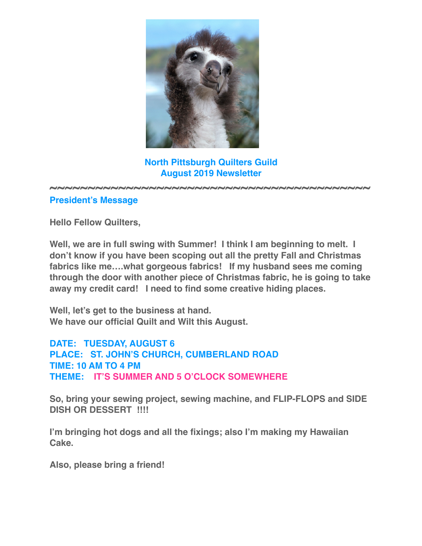

**North Pittsburgh Quilters Guild August 2019 Newsletter**

**~~~~~~~~~~~~~~~~~~~~~~~~~~~~~~~~~~~~~~~~~~**

### **President's Message**

**Hello Fellow Quilters,**

**Well, we are in full swing with Summer! I think I am beginning to melt. I don't know if you have been scoping out all the pretty Fall and Christmas fabrics like me….what gorgeous fabrics! If my husband sees me coming through the door with another piece of Christmas fabric, he is going to take away my credit card! I need to find some creative hiding places.**

**Well, let's get to the business at hand. We have our official Quilt and Wilt this August.**

**DATE: TUESDAY, AUGUST 6 PLACE: ST. JOHN'S CHURCH, CUMBERLAND ROAD TIME: 10 AM TO 4 PM THEME: IT'S SUMMER AND 5 O'CLOCK SOMEWHERE**

**So, bring your sewing project, sewing machine, and FLIP-FLOPS and SIDE DISH OR DESSERT !!!!**

**I'm bringing hot dogs and all the fixings; also I'm making my Hawaiian Cake.**

**Also, please bring a friend!**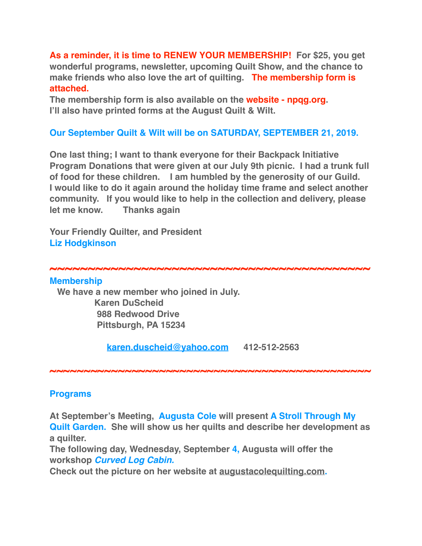**As a reminder, it is time to RENEW YOUR MEMBERSHIP! For \$25, you get wonderful programs, newsletter, upcoming Quilt Show, and the chance to make friends who also love the art of quilting. The membership form is attached.**

**The membership form is also available on the website - npqg.org. I'll also have printed forms at the August Quilt & Wilt.**

## **Our September Quilt & Wilt will be on SATURDAY, SEPTEMBER 21, 2019.**

**One last thing; I want to thank everyone for their Backpack Initiative Program Donations that were given at our July 9th picnic. I had a trunk full of food for these children. I am humbled by the generosity of our Guild. I would like to do it again around the holiday time frame and select another community. If you would like to help in the collection and delivery, please let me know. Thanks again**

**Your Friendly Quilter, and President Liz Hodgkinson**

**~~~~~~~~~~~~~~~~~~~~~~~~~~~~~~~~~~~~~~~~~~**

#### **Membership**

 **We have a new member who joined in July. Karen DuScheid 988 Redwood Drive Pittsburgh, PA 15234**

 **[karen.duscheid@yahoo.com](mailto:karen.duscheid@yahoo.com) 412-512-2563**

**~~~~~~~~~~~~~~~~~~~~~~~~~~~~~~~~~~~~~~~~~~~~~~~**

### **Programs**

**At September's Meeting, Augusta Cole will present A Stroll Through My Quilt Garden. She will show us her quilts and describe her development as a quilter.**

**The following day, Wednesday, September 4, Augusta will offer the workshop** *Curved Log Cabin.*

**Check out the picture on her website at [augustacolequilting.com](http://augustacolequilting.com).**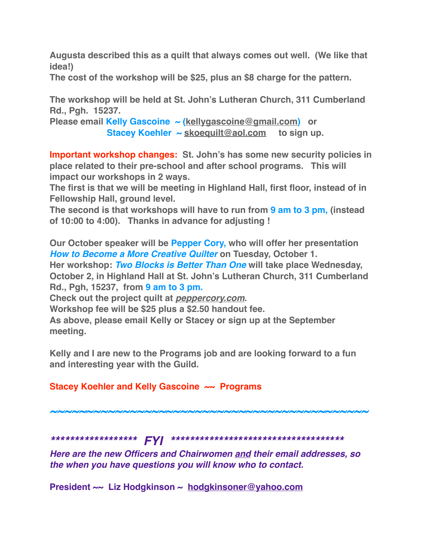**Augusta described this as a quilt that always comes out well. (We like that idea!)**

**The cost of the workshop will be \$25, plus an \$8 charge for the pattern.**

**The workshop will be held at St. John's Lutheran Church, 311 Cumberland Rd., Pgh. 15237.**

**Please email Kelly Gascoine ~ ([kellygascoine@gmail.com\)](mailto:kellygascoine@gmail.com) or Stacey Koehler ~ [skoequilt@aol.com](mailto:skoequilt@aol.com) to sign up.**

**Important workshop changes: St. John's has some new security policies in place related to their pre-school and after school programs. This will impact our workshops in 2 ways.**

**The first is that we will be meeting in Highland Hall, first floor, instead of in Fellowship Hall, ground level.** 

**The second is that workshops will have to run from 9 am to 3 pm, (instead of 10:00 to 4:00). Thanks in advance for adjusting !**

**Our October speaker will be Pepper Cory, who will offer her presentation** *How to Become a More Creative Quilter* on Tuesday, October 1. **Her workshop:** *Two Blocks is Better Than One* **will take place Wednesday, October 2, in Highland Hall at St. John's Lutheran Church, 311 Cumberland Rd., Pgh, 15237, from 9 am to 3 pm.**

**Check out the project quilt at** *[peppercory.com](http://peppercory.com)***.** 

**Workshop fee will be \$25 plus a \$2.50 handout fee.**

**As above, please email Kelly or Stacey or sign up at the September meeting.**

**Kelly and I are new to the Programs job and are looking forward to a fun and interesting year with the Guild.**

# **Stacey Koehler and Kelly Gascoine ~~ Programs**

*~~~~~~~~~~~~~~~~~~~~~~~~~~~~~~~~~~~~~~~~~~~~*

*\*\*\*\*\*\*\*\*\*\*\*\*\*\*\*\*\*\* FYI \*\*\*\*\*\*\*\*\*\*\*\*\*\*\*\*\*\*\*\*\*\*\*\*\*\*\*\*\*\*\*\*\*\*\*\**

*Here are the new Officers and Chairwomen and their email addresses, so the when you have questions you will know who to contact.*

**President ~~ Liz Hodgkinson ~ [hodgkinsoner@yahoo.com](mailto:hodgkinsoner@yahoo.com)**